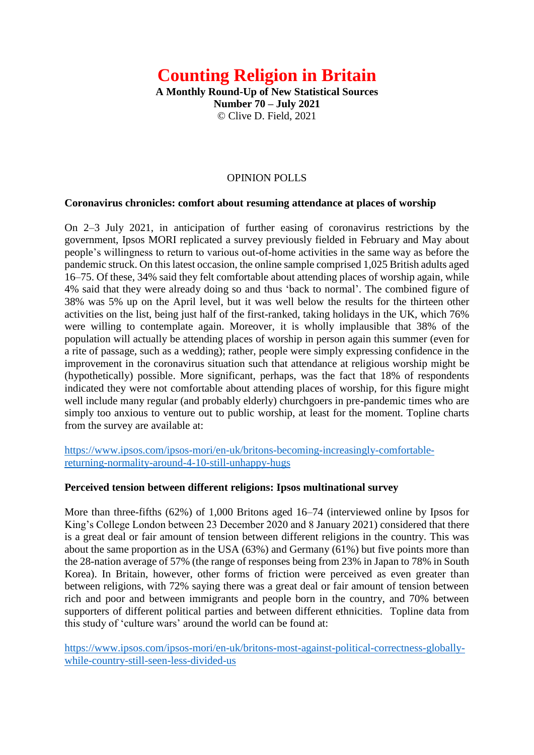# **Counting Religion in Britain**

**A Monthly Round-Up of New Statistical Sources Number 70 – July 2021** © Clive D. Field, 2021

# OPINION POLLS

#### **Coronavirus chronicles: comfort about resuming attendance at places of worship**

On 2–3 July 2021, in anticipation of further easing of coronavirus restrictions by the government, Ipsos MORI replicated a survey previously fielded in February and May about people's willingness to return to various out-of-home activities in the same way as before the pandemic struck. On this latest occasion, the online sample comprised 1,025 British adults aged 16–75. Of these, 34% said they felt comfortable about attending places of worship again, while 4% said that they were already doing so and thus 'back to normal'. The combined figure of 38% was 5% up on the April level, but it was well below the results for the thirteen other activities on the list, being just half of the first-ranked, taking holidays in the UK, which 76% were willing to contemplate again. Moreover, it is wholly implausible that 38% of the population will actually be attending places of worship in person again this summer (even for a rite of passage, such as a wedding); rather, people were simply expressing confidence in the improvement in the coronavirus situation such that attendance at religious worship might be (hypothetically) possible. More significant, perhaps, was the fact that 18% of respondents indicated they were not comfortable about attending places of worship, for this figure might well include many regular (and probably elderly) churchgoers in pre-pandemic times who are simply too anxious to venture out to public worship, at least for the moment. Topline charts from the survey are available at:

[https://www.ipsos.com/ipsos-mori/en-uk/britons-becoming-increasingly-comfortable](https://www.ipsos.com/ipsos-mori/en-uk/britons-becoming-increasingly-comfortable-returning-normality-around-4-10-still-unhappy-hugs)[returning-normality-around-4-10-still-unhappy-hugs](https://www.ipsos.com/ipsos-mori/en-uk/britons-becoming-increasingly-comfortable-returning-normality-around-4-10-still-unhappy-hugs)

#### **Perceived tension between different religions: Ipsos multinational survey**

More than three-fifths (62%) of 1,000 Britons aged 16–74 (interviewed online by Ipsos for King's College London between 23 December 2020 and 8 January 2021) considered that there is a great deal or fair amount of tension between different religions in the country. This was about the same proportion as in the USA (63%) and Germany (61%) but five points more than the 28-nation average of 57% (the range of responses being from 23% in Japan to 78% in South Korea). In Britain, however, other forms of friction were perceived as even greater than between religions, with 72% saying there was a great deal or fair amount of tension between rich and poor and between immigrants and people born in the country, and 70% between supporters of different political parties and between different ethnicities. Topline data from this study of 'culture wars' around the world can be found at:

[https://www.ipsos.com/ipsos-mori/en-uk/britons-most-against-political-correctness-globally](https://www.ipsos.com/ipsos-mori/en-uk/britons-most-against-political-correctness-globally-while-country-still-seen-less-divided-us)[while-country-still-seen-less-divided-us](https://www.ipsos.com/ipsos-mori/en-uk/britons-most-against-political-correctness-globally-while-country-still-seen-less-divided-us)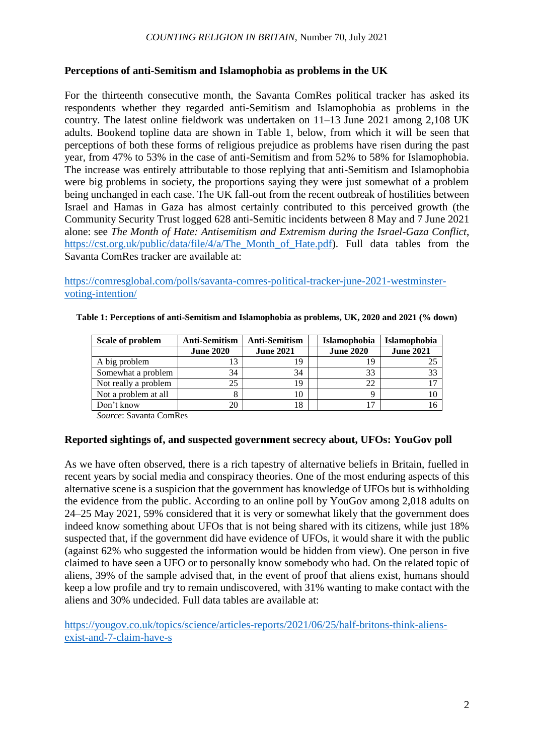# **Perceptions of anti-Semitism and Islamophobia as problems in the UK**

For the thirteenth consecutive month, the Savanta ComRes political tracker has asked its respondents whether they regarded anti-Semitism and Islamophobia as problems in the country. The latest online fieldwork was undertaken on 11–13 June 2021 among 2,108 UK adults. Bookend topline data are shown in Table 1, below, from which it will be seen that perceptions of both these forms of religious prejudice as problems have risen during the past year, from 47% to 53% in the case of anti-Semitism and from 52% to 58% for Islamophobia. The increase was entirely attributable to those replying that anti-Semitism and Islamophobia were big problems in society, the proportions saying they were just somewhat of a problem being unchanged in each case. The UK fall-out from the recent outbreak of hostilities between Israel and Hamas in Gaza has almost certainly contributed to this perceived growth (the Community Security Trust logged 628 anti-Semitic incidents between 8 May and 7 June 2021 alone: see *The Month of Hate: Antisemitism and Extremism during the Israel-Gaza Conflict*, https://cst.org.uk/public/data/file/4/a/The Month of Hate.pdf). Full data tables from the Savanta ComRes tracker are available at:

[https://comresglobal.com/polls/savanta-comres-political-tracker-june-2021-westminster](https://comresglobal.com/polls/savanta-comres-political-tracker-june-2021-westminster-voting-intention/)[voting-intention/](https://comresglobal.com/polls/savanta-comres-political-tracker-june-2021-westminster-voting-intention/)

| Scale of problem     | <b>Anti-Semitism</b> | <b>Anti-Semitism</b> | <b>Islamophobia</b> | <b>Islamophobia</b> |  |
|----------------------|----------------------|----------------------|---------------------|---------------------|--|
|                      | <b>June 2020</b>     | <b>June 2021</b>     | <b>June 2020</b>    | <b>June 2021</b>    |  |
| A big problem        | 13                   | 19                   | 19                  |                     |  |
| Somewhat a problem   | 34                   | 34                   | 33                  | 33                  |  |
| Not really a problem | 25                   | 19                   | 22                  |                     |  |
| Not a problem at all |                      | 10                   | о                   |                     |  |
| Don't know           | 20                   | 18                   | 17                  |                     |  |

**Table 1: Perceptions of anti-Semitism and Islamophobia as problems, UK, 2020 and 2021 (% down)**

*Source*: Savanta ComRes

## **Reported sightings of, and suspected government secrecy about, UFOs: YouGov poll**

As we have often observed, there is a rich tapestry of alternative beliefs in Britain, fuelled in recent years by social media and conspiracy theories. One of the most enduring aspects of this alternative scene is a suspicion that the government has knowledge of UFOs but is withholding the evidence from the public. According to an online poll by YouGov among 2,018 adults on 24–25 May 2021, 59% considered that it is very or somewhat likely that the government does indeed know something about UFOs that is not being shared with its citizens, while just 18% suspected that, if the government did have evidence of UFOs, it would share it with the public (against 62% who suggested the information would be hidden from view). One person in five claimed to have seen a UFO or to personally know somebody who had. On the related topic of aliens, 39% of the sample advised that, in the event of proof that aliens exist, humans should keep a low profile and try to remain undiscovered, with 31% wanting to make contact with the aliens and 30% undecided. Full data tables are available at:

[https://yougov.co.uk/topics/science/articles-reports/2021/06/25/half-britons-think-aliens](https://yougov.co.uk/topics/science/articles-reports/2021/06/25/half-britons-think-aliens-exist-and-7-claim-have-s)[exist-and-7-claim-have-s](https://yougov.co.uk/topics/science/articles-reports/2021/06/25/half-britons-think-aliens-exist-and-7-claim-have-s)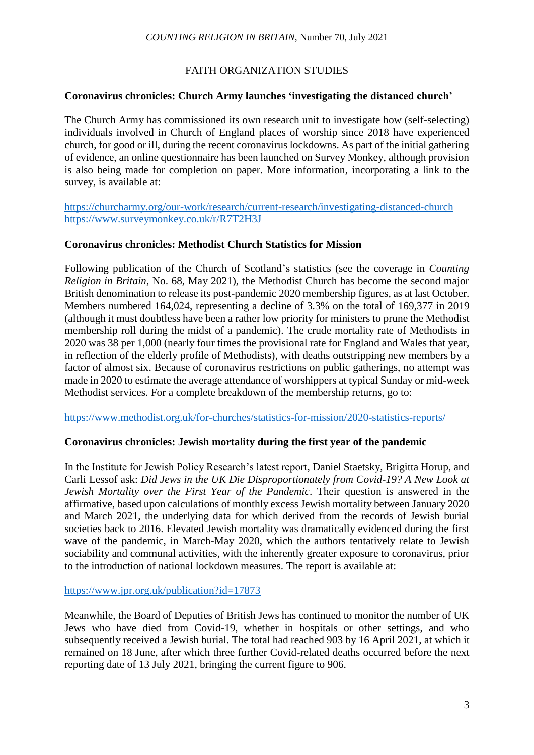## FAITH ORGANIZATION STUDIES

## **Coronavirus chronicles: Church Army launches 'investigating the distanced church'**

The Church Army has commissioned its own research unit to investigate how (self-selecting) individuals involved in Church of England places of worship since 2018 have experienced church, for good or ill, during the recent coronavirus lockdowns. As part of the initial gathering of evidence, an online questionnaire has been launched on Survey Monkey, although provision is also being made for completion on paper. More information, incorporating a link to the survey, is available at:

<https://churcharmy.org/our-work/research/current-research/investigating-distanced-church> <https://www.surveymonkey.co.uk/r/R7T2H3J>

## **Coronavirus chronicles: Methodist Church Statistics for Mission**

Following publication of the Church of Scotland's statistics (see the coverage in *Counting Religion in Britain*, No. 68, May 2021), the Methodist Church has become the second major British denomination to release its post-pandemic 2020 membership figures, as at last October. Members numbered 164,024, representing a decline of 3.3% on the total of 169,377 in 2019 (although it must doubtless have been a rather low priority for ministers to prune the Methodist membership roll during the midst of a pandemic). The crude mortality rate of Methodists in 2020 was 38 per 1,000 (nearly four times the provisional rate for England and Wales that year, in reflection of the elderly profile of Methodists), with deaths outstripping new members by a factor of almost six. Because of coronavirus restrictions on public gatherings, no attempt was made in 2020 to estimate the average attendance of worshippers at typical Sunday or mid-week Methodist services. For a complete breakdown of the membership returns, go to:

<https://www.methodist.org.uk/for-churches/statistics-for-mission/2020-statistics-reports/>

## **Coronavirus chronicles: Jewish mortality during the first year of the pandemic**

In the Institute for Jewish Policy Research's latest report, Daniel Staetsky, Brigitta Horup, and Carli Lessof ask: *Did Jews in the UK Die Disproportionately from Covid-19? A New Look at Jewish Mortality over the First Year of the Pandemic*. Their question is answered in the affirmative, based upon calculations of monthly excess Jewish mortality between January 2020 and March 2021, the underlying data for which derived from the records of Jewish burial societies back to 2016. Elevated Jewish mortality was dramatically evidenced during the first wave of the pandemic, in March-May 2020, which the authors tentatively relate to Jewish sociability and communal activities, with the inherently greater exposure to coronavirus, prior to the introduction of national lockdown measures. The report is available at:

<https://www.jpr.org.uk/publication?id=17873>

Meanwhile, the Board of Deputies of British Jews has continued to monitor the number of UK Jews who have died from Covid-19, whether in hospitals or other settings, and who subsequently received a Jewish burial. The total had reached 903 by 16 April 2021, at which it remained on 18 June, after which three further Covid-related deaths occurred before the next reporting date of 13 July 2021, bringing the current figure to 906.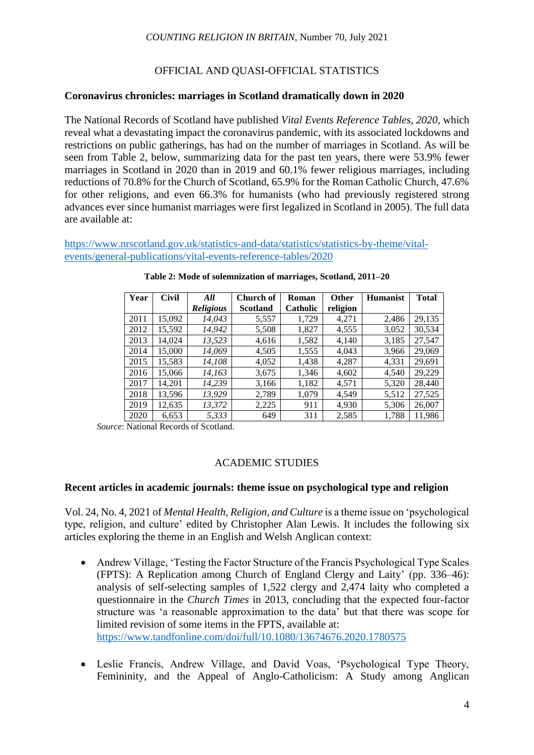## OFFICIAL AND QUASI-OFFICIAL STATISTICS

#### **Coronavirus chronicles: marriages in Scotland dramatically down in 2020**

The National Records of Scotland have published *Vital Events Reference Tables, 2020*, which reveal what a devastating impact the coronavirus pandemic, with its associated lockdowns and restrictions on public gatherings, has had on the number of marriages in Scotland. As will be seen from Table 2, below, summarizing data for the past ten years, there were 53.9% fewer marriages in Scotland in 2020 than in 2019 and 60.1% fewer religious marriages, including reductions of 70.8% for the Church of Scotland, 65.9% for the Roman Catholic Church, 47.6% for other religions, and even 66.3% for humanists (who had previously registered strong advances ever since humanist marriages were first legalized in Scotland in 2005). The full data are available at:

[https://www.nrscotland.gov.uk/statistics-and-data/statistics/statistics-by-theme/vital](https://www.nrscotland.gov.uk/statistics-and-data/statistics/statistics-by-theme/vital-events/general-publications/vital-events-reference-tables/2020)[events/general-publications/vital-events-reference-tables/2020](https://www.nrscotland.gov.uk/statistics-and-data/statistics/statistics-by-theme/vital-events/general-publications/vital-events-reference-tables/2020)

| Year | <b>Civil</b> | All              | Church of       | Roman    | <b>Other</b> | <b>Humanist</b> | <b>Total</b> |
|------|--------------|------------------|-----------------|----------|--------------|-----------------|--------------|
|      |              | <b>Religious</b> | <b>Scotland</b> | Catholic | religion     |                 |              |
| 2011 | 15,092       | 14,043           | 5,557           | 1,729    | 4,271        | 2,486           | 29,135       |
| 2012 | 15,592       | 14,942           | 5,508           | 1,827    | 4,555        | 3,052           | 30,534       |
| 2013 | 14,024       | 13,523           | 4,616           | 1,582    | 4,140        | 3,185           | 27,547       |
| 2014 | 15,000       | 14,069           | 4,505           | 1,555    | 4,043        | 3,966           | 29,069       |
| 2015 | 15,583       | 14,108           | 4,052           | 1,438    | 4,287        | 4,331           | 29,691       |
| 2016 | 15,066       | 14,163           | 3,675           | 1,346    | 4,602        | 4,540           | 29,229       |
| 2017 | 14.201       | 14.239           | 3,166           | 1,182    | 4,571        | 5,320           | 28,440       |
| 2018 | 13,596       | 13.929           | 2,789           | 1.079    | 4.549        | 5,512           | 27,525       |
| 2019 | 12,635       | 13,372           | 2,225           | 911      | 4,930        | 5,306           | 26,007       |
| 2020 | 6,653        | 5.333            | 649             | 311      | 2,585        | 1,788           | 11,986       |

*Source*: National Records of Scotland.

## ACADEMIC STUDIES

# **Recent articles in academic journals: theme issue on psychological type and religion**

Vol. 24, No. 4, 2021 of *Mental Health, Religion, and Culture* is a theme issue on 'psychological type, religion, and culture' edited by Christopher Alan Lewis. It includes the following six articles exploring the theme in an English and Welsh Anglican context:

- Andrew Village, 'Testing the Factor Structure of the Francis Psychological Type Scales (FPTS): A Replication among Church of England Clergy and Laity' (pp. 336–46): analysis of self-selecting samples of 1,522 clergy and 2,474 laity who completed a questionnaire in the *Church Times* in 2013, concluding that the expected four-factor structure was 'a reasonable approximation to the data' but that there was scope for limited revision of some items in the FPTS, available at: <https://www.tandfonline.com/doi/full/10.1080/13674676.2020.1780575>
- Leslie Francis, Andrew Village, and David Voas, 'Psychological Type Theory, Femininity, and the Appeal of Anglo-Catholicism: A Study among Anglican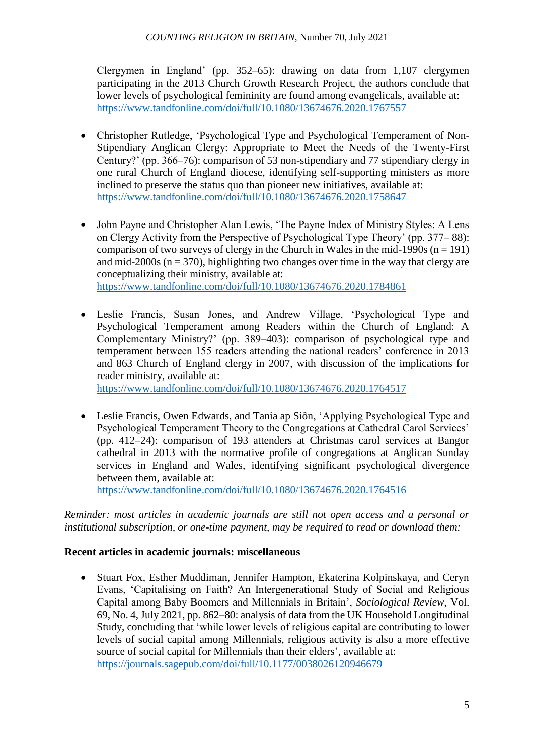Clergymen in England' (pp. 352–65): drawing on data from 1,107 clergymen participating in the 2013 Church Growth Research Project, the authors conclude that lower levels of psychological femininity are found among evangelicals, available at: <https://www.tandfonline.com/doi/full/10.1080/13674676.2020.1767557>

- Christopher Rutledge, 'Psychological Type and Psychological Temperament of Non-Stipendiary Anglican Clergy: Appropriate to Meet the Needs of the Twenty-First Century?' (pp. 366–76): comparison of 53 non-stipendiary and 77 stipendiary clergy in one rural Church of England diocese, identifying self-supporting ministers as more inclined to preserve the status quo than pioneer new initiatives, available at: <https://www.tandfonline.com/doi/full/10.1080/13674676.2020.1758647>
- John Payne and Christopher Alan Lewis, 'The Payne Index of Ministry Styles: A Lens on Clergy Activity from the Perspective of Psychological Type Theory' (pp. 377– 88): comparison of two surveys of clergy in the Church in Wales in the mid-1990s  $(n = 191)$ and mid-2000s ( $n = 370$ ), highlighting two changes over time in the way that clergy are conceptualizing their ministry, available at: <https://www.tandfonline.com/doi/full/10.1080/13674676.2020.1784861>
- Leslie Francis, Susan Jones, and Andrew Village, 'Psychological Type and Psychological Temperament among Readers within the Church of England: A Complementary Ministry?' (pp. 389–403): comparison of psychological type and temperament between 155 readers attending the national readers' conference in 2013 and 863 Church of England clergy in 2007, with discussion of the implications for reader ministry, available at:

<https://www.tandfonline.com/doi/full/10.1080/13674676.2020.1764517>

 Leslie Francis, Owen Edwards, and Tania ap Siôn, 'Applying Psychological Type and Psychological Temperament Theory to the Congregations at Cathedral Carol Services' (pp. 412–24): comparison of 193 attenders at Christmas carol services at Bangor cathedral in 2013 with the normative profile of congregations at Anglican Sunday services in England and Wales, identifying significant psychological divergence between them, available at:

<https://www.tandfonline.com/doi/full/10.1080/13674676.2020.1764516>

*Reminder: most articles in academic journals are still not open access and a personal or institutional subscription, or one-time payment, may be required to read or download them:* 

# **Recent articles in academic journals: miscellaneous**

 Stuart Fox, Esther Muddiman, Jennifer Hampton, Ekaterina Kolpinskaya, and Ceryn Evans, 'Capitalising on Faith? An Intergenerational Study of Social and Religious Capital among Baby Boomers and Millennials in Britain', *Sociological Review*, Vol. 69, No. 4, July 2021, pp. 862–80: analysis of data from the UK Household Longitudinal Study, concluding that 'while lower levels of religious capital are contributing to lower levels of social capital among Millennials, religious activity is also a more effective source of social capital for Millennials than their elders', available at: <https://journals.sagepub.com/doi/full/10.1177/0038026120946679>